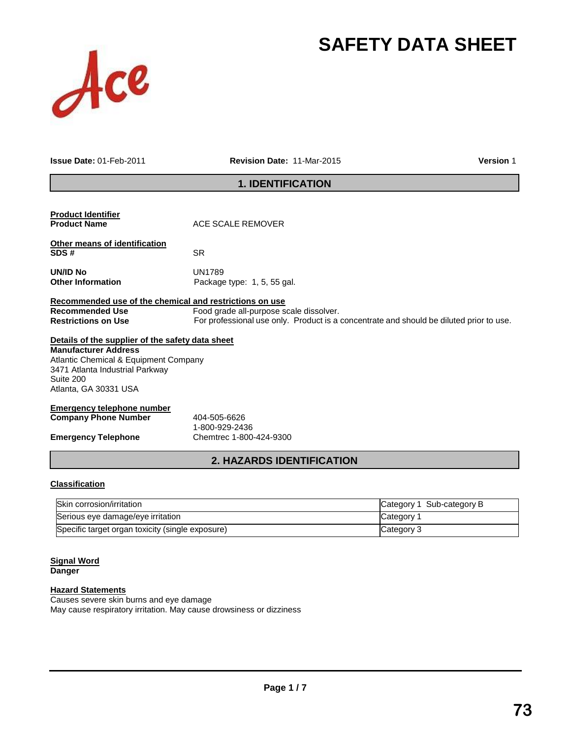# **SAFETY DATA SHEET**



**Issue Date:** 01-Feb-2011 **Revision Date:** 11-Mar-2015 **Version** 1

### **1. IDENTIFICATION**

| $Pla$ aaifiaatian                                       | <b>2. HAZARDS IDENTIFICATION</b>                                                        |
|---------------------------------------------------------|-----------------------------------------------------------------------------------------|
| <b>Emergency Telephone</b>                              | Chemtrec 1-800-424-9300                                                                 |
|                                                         | 1-800-929-2436                                                                          |
| <b>Company Phone Number</b>                             | 404-505-6626                                                                            |
| <b>Emergency telephone number</b>                       |                                                                                         |
| Atlanta, GA 30331 USA                                   |                                                                                         |
| Suite 200                                               |                                                                                         |
| 3471 Atlanta Industrial Parkway                         |                                                                                         |
| Atlantic Chemical & Equipment Company                   |                                                                                         |
| <b>Manufacturer Address</b>                             |                                                                                         |
| Details of the supplier of the safety data sheet        |                                                                                         |
| <b>Restrictions on Use</b>                              | For professional use only. Product is a concentrate and should be diluted prior to use. |
| <b>Recommended Use</b>                                  | Food grade all-purpose scale dissolver.                                                 |
| Recommended use of the chemical and restrictions on use |                                                                                         |
| <b>Other Information</b>                                | Package type: 1, 5, 55 gal.                                                             |
| <b>UN/ID No</b>                                         | <b>UN1789</b>                                                                           |
| SDS#                                                    | <b>SR</b>                                                                               |
| Other means of identification                           |                                                                                         |
| <b>Product Name</b>                                     | ACE SCALE REMOVER                                                                       |
| <b>Product Identifier</b>                               |                                                                                         |

#### **Classification**

| Skin corrosion/irritation                        | Category 1 Sub-category B |
|--------------------------------------------------|---------------------------|
| Serious eye damage/eye irritation                | Category 1                |
| Specific target organ toxicity (single exposure) | Category 3                |

### **Signal Word**

**Danger**

### **Hazard Statements**

Causes severe skin burns and eye damage May cause respiratory irritation. May cause drowsiness or dizziness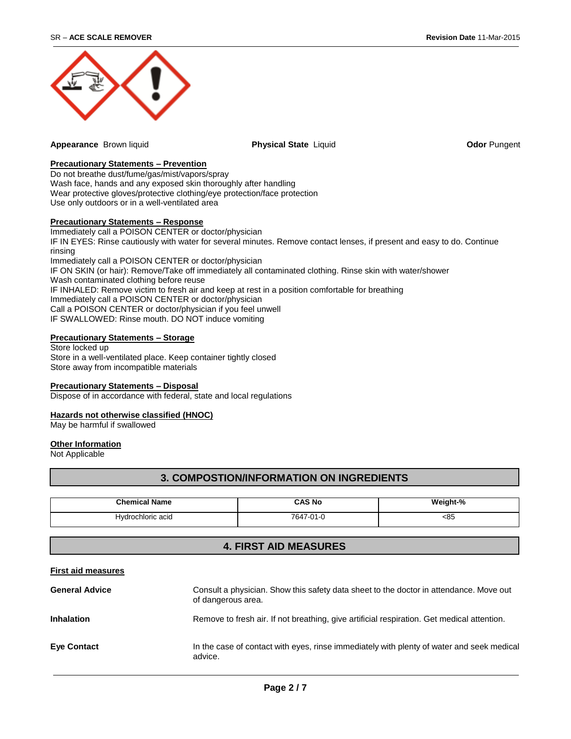

**Appearance** Brown liquid **Physical State** Liquid **Odor** Pungent

#### **Precautionary Statements – Prevention**

Do not breathe dust/fume/gas/mist/vapors/spray Wash face, hands and any exposed skin thoroughly after handling Wear protective gloves/protective clothing/eye protection/face protection Use only outdoors or in a well-ventilated area

### **Precautionary Statements – Response**

Immediately call a POISON CENTER or doctor/physician IF IN EYES: Rinse cautiously with water for several minutes. Remove contact lenses, if present and easy to do. Continue rinsing Immediately call a POISON CENTER or doctor/physician IF ON SKIN (or hair): Remove/Take off immediately all contaminated clothing. Rinse skin with water/shower Wash contaminated clothing before reuse IF INHALED: Remove victim to fresh air and keep at rest in a position comfortable for breathing Immediately call a POISON CENTER or doctor/physician Call a POISON CENTER or doctor/physician if you feel unwell

IF SWALLOWED: Rinse mouth. DO NOT induce vomiting

#### **Precautionary Statements – Storage**

Store locked up Store in a well-ventilated place. Keep container tightly closed Store away from incompatible materials

#### **Precautionary Statements – Disposal**

Dispose of in accordance with federal, state and local regulations

#### **Hazards not otherwise classified (HNOC)**

May be harmful if swallowed

#### **Other Information**

Not Applicable

#### **3. COMPOSTION/INFORMATION ON INGREDIENTS**

| <b>Chemical Name</b> | <b>CAS No</b> | Weight-% |
|----------------------|---------------|----------|
| Hydrochloric acid    | 761.<br>,,,,, | <85      |

### **4. FIRST AID MEASURES**

#### **First aid measures**

| <b>General Advice</b> | Consult a physician. Show this safety data sheet to the doctor in attendance. Move out<br>of dangerous area. |
|-----------------------|--------------------------------------------------------------------------------------------------------------|
| <b>Inhalation</b>     | Remove to fresh air. If not breathing, give artificial respiration. Get medical attention.                   |
| <b>Eye Contact</b>    | In the case of contact with eyes, rinse immediately with plenty of water and seek medical<br>advice.         |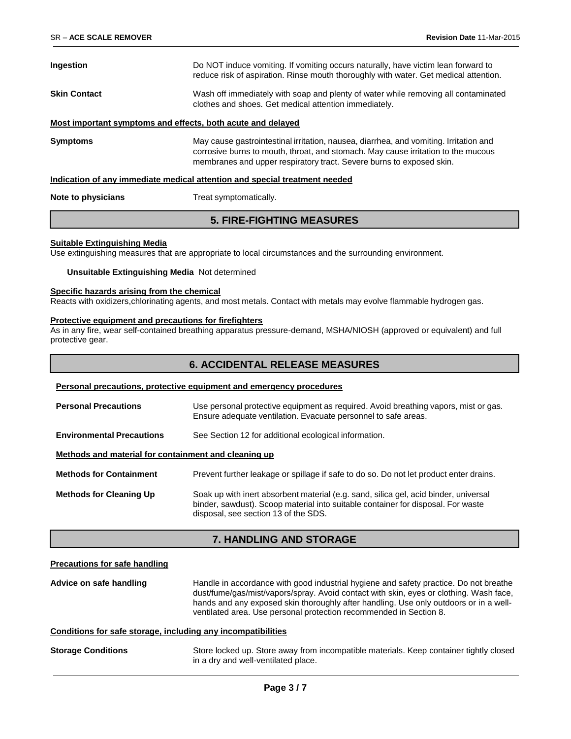| <b>Ingestion</b>    | Do NOT induce vomiting. If vomiting occurs naturally, have victim lean forward to<br>reduce risk of aspiration. Rinse mouth thoroughly with water. Get medical attention.                                                                          |
|---------------------|----------------------------------------------------------------------------------------------------------------------------------------------------------------------------------------------------------------------------------------------------|
| <b>Skin Contact</b> | Wash off immediately with soap and plenty of water while removing all contaminated<br>clothes and shoes. Get medical attention immediately.                                                                                                        |
|                     | Most important symptoms and effects, both acute and delayed                                                                                                                                                                                        |
| <b>Symptoms</b>     | May cause gastrointestinal irritation, nausea, diarrhea, and vomiting. Irritation and<br>corrosive burns to mouth, throat, and stomach. May cause irritation to the mucous<br>membranes and upper respiratory tract. Severe burns to exposed skin. |
|                     | Indication of any immediate medical attention and special treatment needed                                                                                                                                                                         |
| Note to physicians  | Treat symptomatically.                                                                                                                                                                                                                             |

### **5. FIRE-FIGHTING MEASURES**

#### **Suitable Extinguishing Media**

Use extinguishing measures that are appropriate to local circumstances and the surrounding environment.

#### **Unsuitable Extinguishing Media** Not determined

#### **Specific hazards arising from the chemical**

Reacts with oxidizers,chlorinating agents, and most metals. Contact with metals may evolve flammable hydrogen gas.

#### **Protective equipment and precautions for firefighters**

As in any fire, wear self-contained breathing apparatus pressure-demand, MSHA/NIOSH (approved or equivalent) and full protective gear.

### **6. ACCIDENTAL RELEASE MEASURES**

#### **Personal precautions, protective equipment and emergency procedures**

| <b>Personal Precautions</b>                          | Use personal protective equipment as required. Avoid breathing vapors, mist or gas.<br>Ensure adequate ventilation. Evacuate personnel to safe areas.                                                            |
|------------------------------------------------------|------------------------------------------------------------------------------------------------------------------------------------------------------------------------------------------------------------------|
| <b>Environmental Precautions</b>                     | See Section 12 for additional ecological information.                                                                                                                                                            |
| Methods and material for containment and cleaning up |                                                                                                                                                                                                                  |
| <b>Methods for Containment</b>                       | Prevent further leakage or spillage if safe to do so. Do not let product enter drains.                                                                                                                           |
| <b>Methods for Cleaning Up</b>                       | Soak up with inert absorbent material (e.g. sand, silica gel, acid binder, universal<br>binder, sawdust). Scoop material into suitable container for disposal. For waste<br>disposal, see section 13 of the SDS. |

#### **7. HANDLING AND STORAGE**

#### **Precautions for safe handling**

**Advice on safe handling** Handle in accordance with good industrial hygiene and safety practice. Do not breathe dust/fume/gas/mist/vapors/spray. Avoid contact with skin, eyes or clothing. Wash face, hands and any exposed skin thoroughly after handling. Use only outdoors or in a wellventilated area. Use personal protection recommended in Section 8.

#### **Conditions for safe storage, including any incompatibilities**

**Storage Conditions** Store locked up. Store away from incompatible materials. Keep container tightly closed in a dry and well-ventilated place.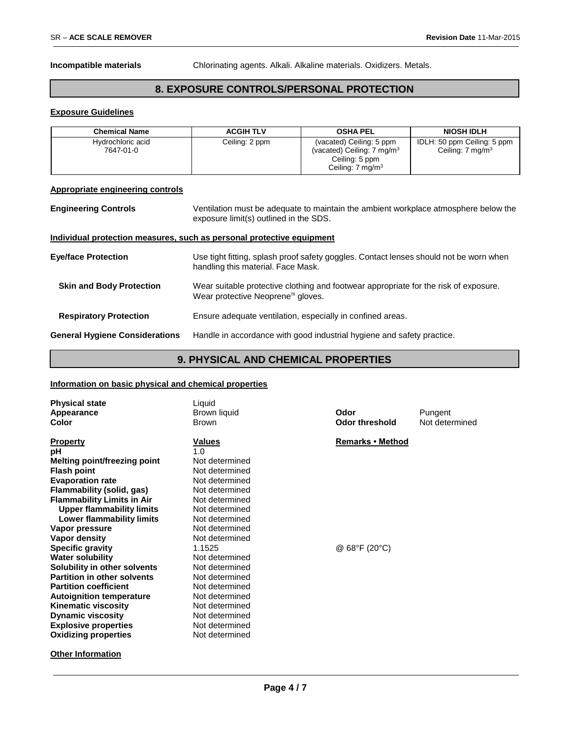**Incompatible materials** Chlorinating agents. Alkali. Alkaline materials. Oxidizers. Metals.

### **8. EXPOSURE CONTROLS/PERSONAL PROTECTION**

#### **Exposure Guidelines**

| <b>Chemical Name</b>           | <b>ACGIH TLV</b> | <b>OSHA PEL</b>                                                                                                    | <b>NIOSH IDLH</b>                                          |
|--------------------------------|------------------|--------------------------------------------------------------------------------------------------------------------|------------------------------------------------------------|
| Hydrochloric acid<br>7647-01-0 | Ceiling: 2 ppm   | (vacated) Ceiling: 5 ppm<br>(vacated) Ceiling: $7 \text{ mg/m}^3$<br>Ceiling: 5 ppm<br>Ceiling: $7 \text{ mg/m}^3$ | IDLH: 50 ppm Ceiling: 5 ppm<br>Ceiling: $7 \text{ mg/m}^3$ |

#### **Appropriate engineering controls**

| <b>Engineering Controls</b>           | Ventilation must be adequate to maintain the ambient workplace atmosphere below the<br>exposure limit(s) outlined in the SDS.         |  |  |
|---------------------------------------|---------------------------------------------------------------------------------------------------------------------------------------|--|--|
|                                       | Individual protection measures, such as personal protective equipment                                                                 |  |  |
| <b>Eye/face Protection</b>            | Use tight fitting, splash proof safety goggles. Contact lenses should not be worn when<br>handling this material. Face Mask.          |  |  |
| <b>Skin and Body Protection</b>       | Wear suitable protective clothing and footwear appropriate for the risk of exposure.<br>Wear protective Neoprene <sup>™</sup> gloves. |  |  |
| <b>Respiratory Protection</b>         | Ensure adequate ventilation, especially in confined areas.                                                                            |  |  |
| <b>General Hygiene Considerations</b> | Handle in accordance with good industrial hygiene and safety practice.                                                                |  |  |

### **9. PHYSICAL AND CHEMICAL PROPERTIES**

### **Information on basic physical and chemical properties**

| <b>Physical state</b><br>Appearance<br>Color | Liquid<br>Brown liquid<br><b>Brown</b> | Odor<br><b>Odor threshold</b> | Pungent<br>Not determined |
|----------------------------------------------|----------------------------------------|-------------------------------|---------------------------|
| <b>Property</b>                              | <b>Values</b>                          | <b>Remarks • Method</b>       |                           |
| рH                                           | 1.0                                    |                               |                           |
| <b>Melting point/freezing point</b>          | Not determined                         |                               |                           |
| <b>Flash point</b>                           | Not determined                         |                               |                           |
| <b>Evaporation rate</b>                      | Not determined                         |                               |                           |
| Flammability (solid, gas)                    | Not determined                         |                               |                           |
| <b>Flammability Limits in Air</b>            | Not determined                         |                               |                           |
| <b>Upper flammability limits</b>             | Not determined                         |                               |                           |
| <b>Lower flammability limits</b>             | Not determined                         |                               |                           |
| Vapor pressure                               | Not determined                         |                               |                           |
| Vapor density                                | Not determined                         |                               |                           |
| <b>Specific gravity</b>                      | 1.1525                                 | @ $68^{\circ}F(20^{\circ}C)$  |                           |
| <b>Water solubility</b>                      | Not determined                         |                               |                           |
| Solubility in other solvents                 | Not determined                         |                               |                           |
| <b>Partition in other solvents</b>           | Not determined                         |                               |                           |
| <b>Partition coefficient</b>                 | Not determined                         |                               |                           |
| <b>Autoignition temperature</b>              | Not determined                         |                               |                           |
| <b>Kinematic viscosity</b>                   | Not determined                         |                               |                           |
| <b>Dynamic viscosity</b>                     | Not determined                         |                               |                           |
| <b>Explosive properties</b>                  | Not determined                         |                               |                           |
| <b>Oxidizing properties</b>                  | Not determined                         |                               |                           |
| <b>Other Information</b>                     |                                        |                               |                           |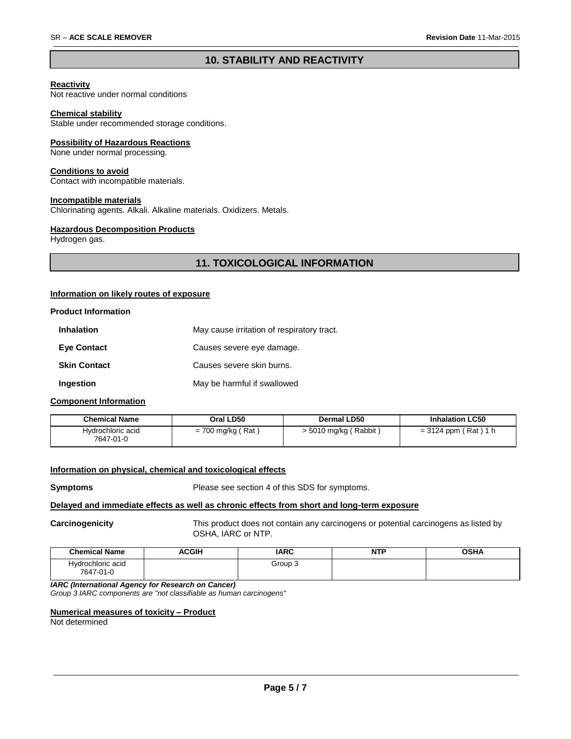### **10. STABILITY AND REACTIVITY**

#### **Reactivity**

Not reactive under normal conditions

#### **Chemical stability**

Stable under recommended storage conditions.

#### **Possibility of Hazardous Reactions**

None under normal processing.

#### **Conditions to avoid**

Contact with incompatible materials.

#### **Incompatible materials**

Chlorinating agents. Alkali. Alkaline materials. Oxidizers. Metals.

#### **Hazardous Decomposition Products**

Hydrogen gas.

### **11. TOXICOLOGICAL INFORMATION**

#### **Information on likely routes of exposure**

#### **Product Information**

| <b>Inhalation</b>   | May cause irritation of respiratory tract. |
|---------------------|--------------------------------------------|
| <b>Eve Contact</b>  | Causes severe eye damage.                  |
| <b>Skin Contact</b> | Causes severe skin burns.                  |
| Ingestion           | May be harmful if swallowed                |

#### **Component Information**

| <b>Chemical Name</b>           | Oral LD50           | Dermal LD50             | <b>Inhalation LC50</b> |
|--------------------------------|---------------------|-------------------------|------------------------|
| Hydrochloric acid<br>7647-01-0 | $= 700$ mg/kg (Rat) | $>$ 5010 mg/kg (Rabbit) | $= 3124$ ppm (Rat) 1 h |

#### **Information on physical, chemical and toxicological effects**

**Symptoms** Please see section 4 of this SDS for symptoms.

#### **Delayed and immediate effects as well as chronic effects from short and long-term exposure**

**Carcinogenicity** This product does not contain any carcinogens or potential carcinogens as listed by OSHA, IARC or NTP.

| <b>Chemical Name</b>           | <b>ACGIH</b> | <b>IARC</b> | <b>NTP</b> | <b>OSHA</b> |
|--------------------------------|--------------|-------------|------------|-------------|
| Hydrochloric acid<br>7647-01-0 |              | Group 3     |            |             |

*IARC (International Agency for Research on Cancer) Group 3 IARC components are "not classifiable as human carcinogens"*

## **Numerical measures of toxicity – Product**

Not determined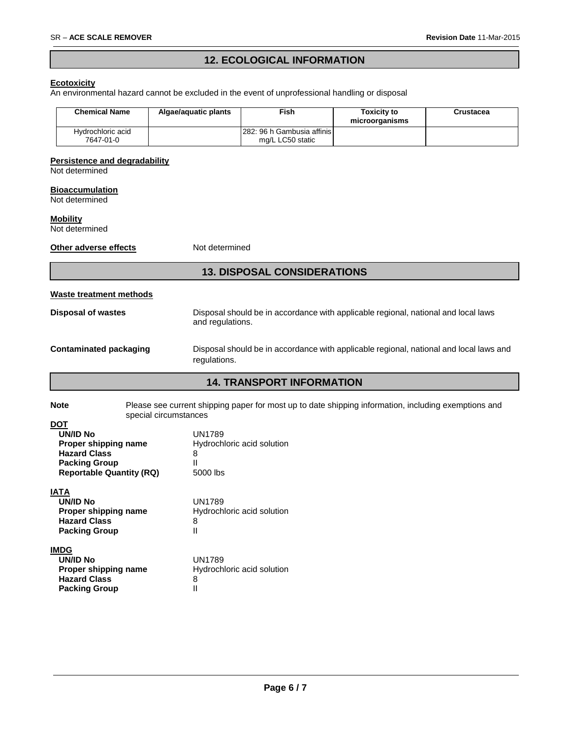**Packing Group II** 

### **12. ECOLOGICAL INFORMATION**

#### **Ecotoxicity**

An environmental hazard cannot be excluded in the event of unprofessional handling or disposal

|            | <b>Chemical Name</b>                                                                                                                         | Algae/aquatic plants                                                                                   | Fish                                           | <b>Toxicity to</b><br>microorganisms | <b>Crustacea</b> |  |  |
|------------|----------------------------------------------------------------------------------------------------------------------------------------------|--------------------------------------------------------------------------------------------------------|------------------------------------------------|--------------------------------------|------------------|--|--|
|            | Hydrochloric acid<br>7647-01-0                                                                                                               |                                                                                                        | 282: 96 h Gambusia affinis<br>mg/L LC50 static |                                      |                  |  |  |
|            |                                                                                                                                              |                                                                                                        |                                                |                                      |                  |  |  |
|            | <b>Persistence and degradability</b><br>Not determined                                                                                       |                                                                                                        |                                                |                                      |                  |  |  |
|            |                                                                                                                                              |                                                                                                        |                                                |                                      |                  |  |  |
|            | <b>Bioaccumulation</b><br>Not determined                                                                                                     |                                                                                                        |                                                |                                      |                  |  |  |
|            | <b>Mobility</b><br>Not determined                                                                                                            |                                                                                                        |                                                |                                      |                  |  |  |
|            | Other adverse effects<br>Not determined                                                                                                      |                                                                                                        |                                                |                                      |                  |  |  |
|            | <b>13. DISPOSAL CONSIDERATIONS</b>                                                                                                           |                                                                                                        |                                                |                                      |                  |  |  |
|            | Waste treatment methods                                                                                                                      |                                                                                                        |                                                |                                      |                  |  |  |
|            | <b>Disposal of wastes</b>                                                                                                                    | Disposal should be in accordance with applicable regional, national and local laws<br>and regulations. |                                                |                                      |                  |  |  |
|            | <b>Contaminated packaging</b><br>Disposal should be in accordance with applicable regional, national and local laws and<br>regulations.      |                                                                                                        |                                                |                                      |                  |  |  |
|            | <b>14. TRANSPORT INFORMATION</b>                                                                                                             |                                                                                                        |                                                |                                      |                  |  |  |
|            | Please see current shipping paper for most up to date shipping information, including exemptions and<br><b>Note</b><br>special circumstances |                                                                                                        |                                                |                                      |                  |  |  |
| <b>DOT</b> | <b>UN/ID No</b><br>Proper shipping name                                                                                                      | <b>UN1789</b>                                                                                          | Hydrochloric acid solution                     |                                      |                  |  |  |
|            | <b>Hazard Class</b>                                                                                                                          | 8                                                                                                      |                                                |                                      |                  |  |  |
|            | <b>Packing Group</b><br><b>Reportable Quantity (RQ)</b>                                                                                      | $\mathbf{H}$<br>5000 lbs                                                                               |                                                |                                      |                  |  |  |
|            | <b>IATA</b>                                                                                                                                  |                                                                                                        |                                                |                                      |                  |  |  |
|            | <b>UN/ID No</b><br>Proper shipping name                                                                                                      | <b>UN1789</b>                                                                                          | Hydrochloric acid solution                     |                                      |                  |  |  |
|            | <b>Hazard Class</b>                                                                                                                          | 8                                                                                                      |                                                |                                      |                  |  |  |
|            | <b>Packing Group</b>                                                                                                                         | $\mathbf{H}$                                                                                           |                                                |                                      |                  |  |  |
|            | <b>IMDG</b>                                                                                                                                  |                                                                                                        |                                                |                                      |                  |  |  |
|            | <b>UN/ID No</b><br>Proper shipping name                                                                                                      | <b>UN1789</b>                                                                                          | Hydrochloric acid solution                     |                                      |                  |  |  |
|            | <b>Hazard Class</b>                                                                                                                          | 8                                                                                                      |                                                |                                      |                  |  |  |